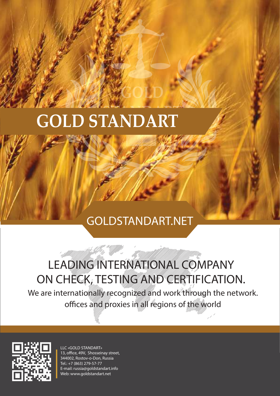#### **STANDART GOLD STANDART**

#### GOLDSTANDART.NET

**GOLD**

#### LEADING INTERNATIONAL COMPANY ON CHECK, TESTING AND CERTIFICATION.

We are internationally recognized and work through the network. offices and proxies in all regions of the world

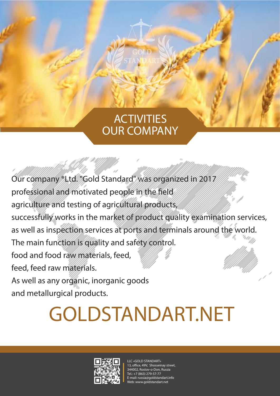#### **ACTIVITIES** OUR COMPANY

**GOLD STANDART**

Our company ®Ltd. "Gold Standard" was organized in 2017 professional and motivated people in the field agriculture and testing of agricultural products, successfully works in the market of product quality examination services, as well as inspection services at ports and terminals around the world. The main function is quality and safety control. food and food raw materials, feed, feed, feed raw materials. As well as any organic, inorganic goods and metallurgical products.

# GOLDSTANDART.NET

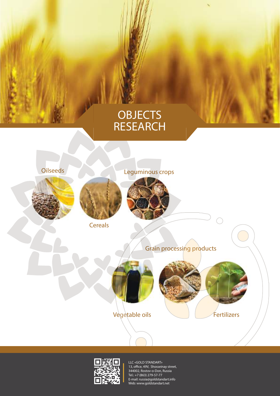#### **OBJECTS** RESEARCH







**Cereals** 

Oilseeds Leguminous crops

#### Grain processing products

Fertilizers

 $\bigcap$ 

Vegetable oils

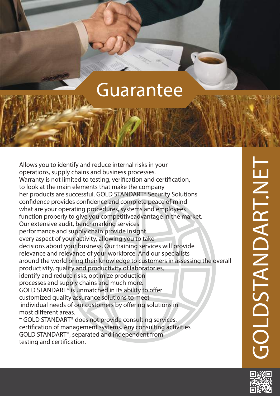### Guarantee

Allows you to identify and reduce internal risks in your operations, supply chains and business processes. Warranty is not limited to testing, verification and certification, to look at the main elements that make the company her products are successful. GOLD STANDART® Security Solutions confidence provides confidence and complete peace of mind what are your operating procedures, systems and employees function properly to give you competitiveadvantage in the market. Our extensive audit, benchmarking services performance and supply chain provide insight every aspect of your activity, allowing you to take decisions about your business. Our training services will provide relevance and relevance of your workforce. And our specialists around the world bring their knowledge to customers in assessing the overall productivity, quality and productivity of laboratories, identify and reduce risks, optimize production processes and supply chains and much more. GOLD STANDART<sup>®</sup> is unmatched in its ability to offer customized quality assurance solutions to meet individual needs of our customers by offering solutions in most different areas. \* GOLD STANDART® does not provide consulting services. certification of management systems. Any consulting activities GOLD STANDART®, separated and independent from

testing and certification.

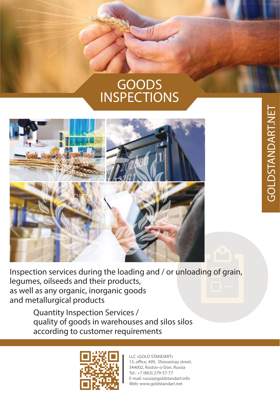#### GOODS INSPECTIONS



Inspection services during the loading and / or unloading of grain, legumes, oilseeds and their products, as well as any organic, inorganic goods and metallurgical products

Quantity Inspection Services / quality of goods in warehouses and silos silos according to customer requirements

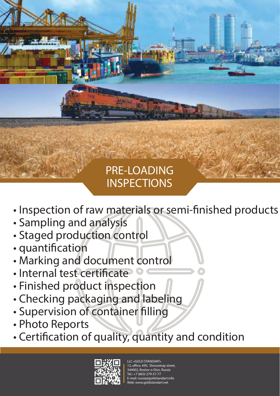#### PRE-LOADING **INSPECTIONS**

- Inspection of raw materials or semi-finished products
- Sampling and analysis
- Staged production control
- quantification
- Marking and document control
- Internal test certificate
- Finished product inspection
- Checking packaging and labeling
- Supervision of container filling
- Photo Reports
- Certification of quality, quantity and condition

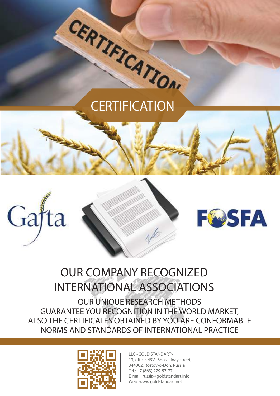# CERTIFICATION





#### OUR COMPANY RECOGNIZED INTERNATIONAL ASSOCIATIONS

OUR UNIQUE RESEARCH METHODS GUARANTEE YOU RECOGNITION IN THE WORLD MARKET, ALSO THE CERTIFICATES OBTAINED BY YOU ARE CONFORMABLE NORMS AND STANDARDS OF INTERNATIONAL PRACTICE

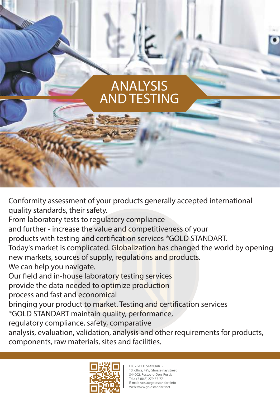#### ANALYSIS AND TESTING

Conformity assessment of your products generally accepted international quality standards, their safety.

From laboratory tests to regulatory compliance

and further - increase the value and competitiveness of your

products with testing and certification services <sup>®</sup>GOLD STANDART.

new markets, sources of supply, regulations and products. Today's market is complicated. Globalization has changed the world by opening

We can help you navigate.

Our field and in-house laboratory testing services

provide the data needed to optimize production которые обеспечива-

process and fast and economical

bringing your product to market. Testing and certification services

®GOLD STANDART maintain quality, performance,

regulatory compliance, safety, comparative

analysis, evaluation, validation, analysis and other requirements for products, components, raw materials, sites and facilities.

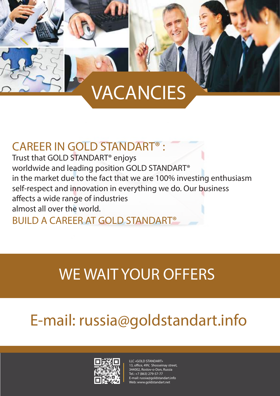## VACANCIES

#### CAREER IN GOLD STANDART® :

Trust that GOLD STANDART® enjoys worldwide and leading position GOLD STANDART® in the market due to the fact that we are 100% investing enthusiasm self-respect and innovation in everything we do. Our business affects a wide range of industries almost all over the world.

BUILD A CAREER AT GOLD STANDART®

## WE WAIT YOUR OFFERS

## E-mail: russia@goldstandart.info